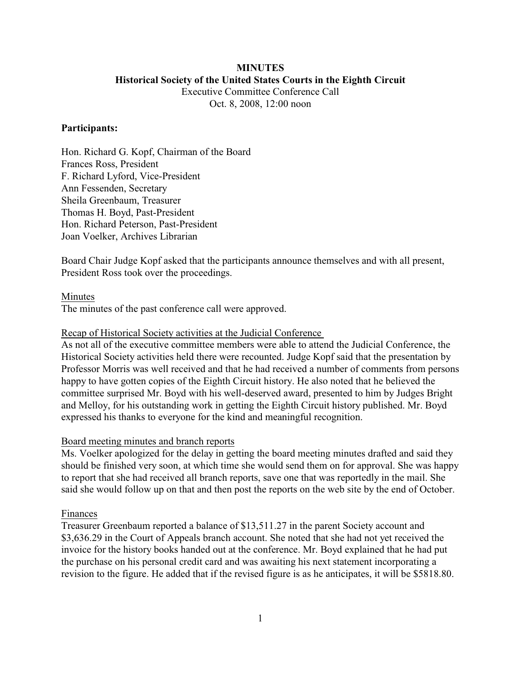## **MINUTES Historical Society of the United States Courts in the Eighth Circuit** Executive Committee Conference Call

Oct. 8, 2008, 12:00 noon

### **Participants:**

Hon. Richard G. Kopf, Chairman of the Board Frances Ross, President F. Richard Lyford, Vice-President Ann Fessenden, Secretary Sheila Greenbaum, Treasurer Thomas H. Boyd, Past-President Hon. Richard Peterson, Past-President Joan Voelker, Archives Librarian

Board Chair Judge Kopf asked that the participants announce themselves and with all present, President Ross took over the proceedings.

## Minutes

The minutes of the past conference call were approved.

### Recap of Historical Society activities at the Judicial Conference

As not all of the executive committee members were able to attend the Judicial Conference, the Historical Society activities held there were recounted. Judge Kopf said that the presentation by Professor Morris was well received and that he had received a number of comments from persons happy to have gotten copies of the Eighth Circuit history. He also noted that he believed the committee surprised Mr. Boyd with his well-deserved award, presented to him by Judges Bright and Melloy, for his outstanding work in getting the Eighth Circuit history published. Mr. Boyd expressed his thanks to everyone for the kind and meaningful recognition.

### Board meeting minutes and branch reports

Ms. Voelker apologized for the delay in getting the board meeting minutes drafted and said they should be finished very soon, at which time she would send them on for approval. She was happy to report that she had received all branch reports, save one that was reportedly in the mail. She said she would follow up on that and then post the reports on the web site by the end of October.

#### Finances

Treasurer Greenbaum reported a balance of \$13,511.27 in the parent Society account and \$3,636.29 in the Court of Appeals branch account. She noted that she had not yet received the invoice for the history books handed out at the conference. Mr. Boyd explained that he had put the purchase on his personal credit card and was awaiting his next statement incorporating a revision to the figure. He added that if the revised figure is as he anticipates, it will be \$5818.80.